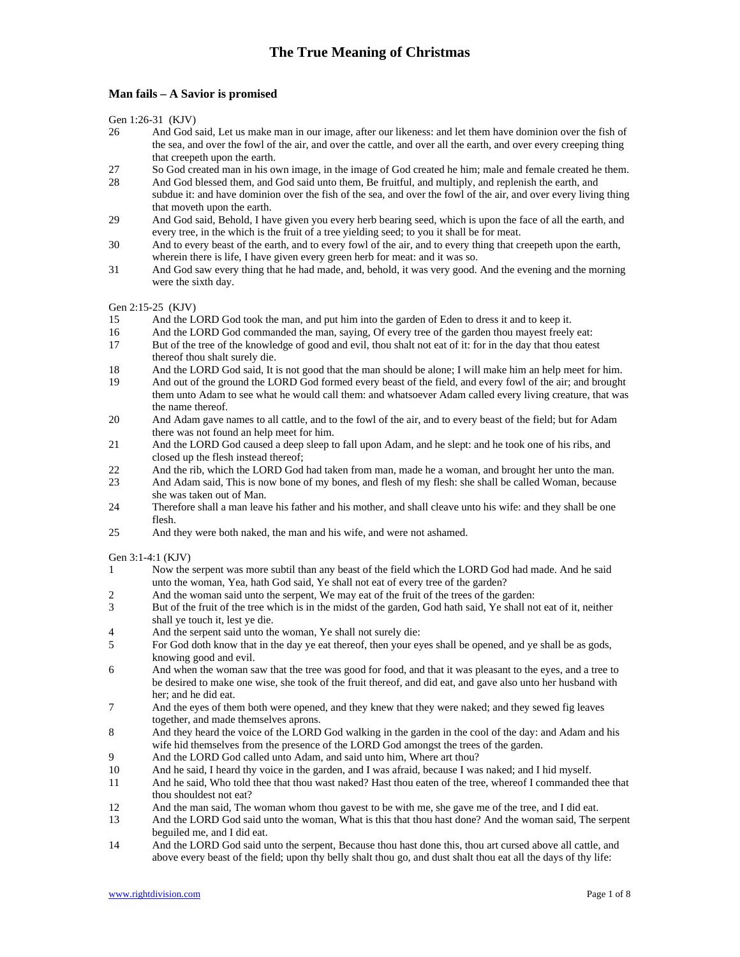## **Man fails – A Savior is promised**

Gen 1:26-31 (KJV)

- 26 And God said, Let us make man in our image, after our likeness: and let them have dominion over the fish of the sea, and over the fowl of the air, and over the cattle, and over all the earth, and over every creeping thing that creepeth upon the earth.
- 27 So God created man in his own image, in the image of God created he him; male and female created he them.
- 28 And God blessed them, and God said unto them, Be fruitful, and multiply, and replenish the earth, and subdue it: and have dominion over the fish of the sea, and over the fowl of the air, and over every living thing that moveth upon the earth.
- 29 And God said, Behold, I have given you every herb bearing seed, which is upon the face of all the earth, and every tree, in the which is the fruit of a tree yielding seed; to you it shall be for meat.
- 30 And to every beast of the earth, and to every fowl of the air, and to every thing that creepeth upon the earth, wherein there is life, I have given every green herb for meat: and it was so.
- 31 And God saw every thing that he had made, and, behold, it was very good. And the evening and the morning were the sixth day.

Gen 2:15-25 (KJV)

- 15 And the LORD God took the man, and put him into the garden of Eden to dress it and to keep it.
- 16 And the LORD God commanded the man, saying, Of every tree of the garden thou mayest freely eat:
- 17 But of the tree of the knowledge of good and evil, thou shalt not eat of it: for in the day that thou eatest thereof thou shalt surely die.
- 18 And the LORD God said, It is not good that the man should be alone; I will make him an help meet for him.
- 19 And out of the ground the LORD God formed every beast of the field, and every fowl of the air; and brought them unto Adam to see what he would call them: and whatsoever Adam called every living creature, that was the name thereof.
- 20 And Adam gave names to all cattle, and to the fowl of the air, and to every beast of the field; but for Adam there was not found an help meet for him.
- 21 And the LORD God caused a deep sleep to fall upon Adam, and he slept: and he took one of his ribs, and closed up the flesh instead thereof;
- 22 And the rib, which the LORD God had taken from man, made he a woman, and brought her unto the man.
- 23 And Adam said, This is now bone of my bones, and flesh of my flesh: she shall be called Woman, because she was taken out of Man.
- 24 Therefore shall a man leave his father and his mother, and shall cleave unto his wife: and they shall be one flesh.
- 25 And they were both naked, the man and his wife, and were not ashamed.

Gen 3:1-4:1 (KJV)

- 1 Now the serpent was more subtil than any beast of the field which the LORD God had made. And he said unto the woman, Yea, hath God said, Ye shall not eat of every tree of the garden?
- 2 And the woman said unto the serpent, We may eat of the fruit of the trees of the garden:
- 3 But of the fruit of the tree which is in the midst of the garden, God hath said, Ye shall not eat of it, neither shall ye touch it, lest ye die.
- 4 And the serpent said unto the woman, Ye shall not surely die:
- 5 For God doth know that in the day ye eat thereof, then your eyes shall be opened, and ye shall be as gods, knowing good and evil.
- 6 And when the woman saw that the tree was good for food, and that it was pleasant to the eyes, and a tree to be desired to make one wise, she took of the fruit thereof, and did eat, and gave also unto her husband with her; and he did eat.
- 7 And the eyes of them both were opened, and they knew that they were naked; and they sewed fig leaves together, and made themselves aprons.
- 8 And they heard the voice of the LORD God walking in the garden in the cool of the day: and Adam and his wife hid themselves from the presence of the LORD God amongst the trees of the garden.
- 9 And the LORD God called unto Adam, and said unto him, Where art thou?
- 10 And he said, I heard thy voice in the garden, and I was afraid, because I was naked; and I hid myself.
- 11 And he said, Who told thee that thou wast naked? Hast thou eaten of the tree, whereof I commanded thee that thou shouldest not eat?
- 12 And the man said, The woman whom thou gavest to be with me, she gave me of the tree, and I did eat.
- 13 And the LORD God said unto the woman, What is this that thou hast done? And the woman said, The serpent beguiled me, and I did eat.
- 14 And the LORD God said unto the serpent, Because thou hast done this, thou art cursed above all cattle, and above every beast of the field; upon thy belly shalt thou go, and dust shalt thou eat all the days of thy life: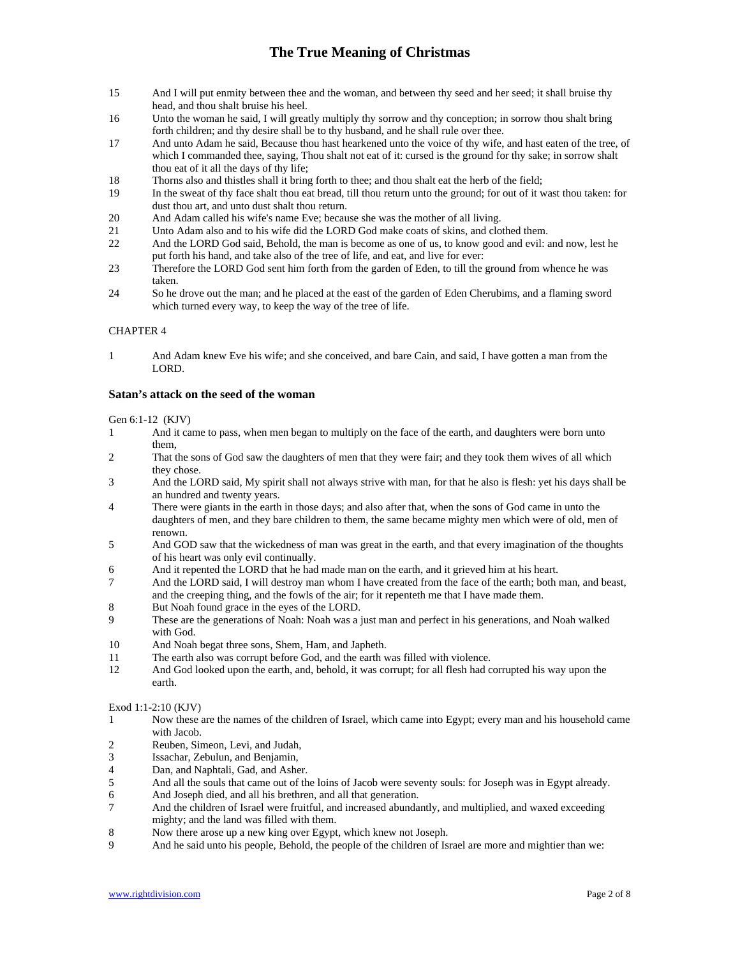- 15 And I will put enmity between thee and the woman, and between thy seed and her seed; it shall bruise thy head, and thou shalt bruise his heel.
- 16 Unto the woman he said, I will greatly multiply thy sorrow and thy conception; in sorrow thou shalt bring forth children; and thy desire shall be to thy husband, and he shall rule over thee.
- 17 And unto Adam he said, Because thou hast hearkened unto the voice of thy wife, and hast eaten of the tree, of which I commanded thee, saying, Thou shalt not eat of it: cursed is the ground for thy sake; in sorrow shalt thou eat of it all the days of thy life;
- 18 Thorns also and thistles shall it bring forth to thee; and thou shalt eat the herb of the field;
- 19 In the sweat of thy face shalt thou eat bread, till thou return unto the ground; for out of it wast thou taken: for dust thou art, and unto dust shalt thou return.
- 20 And Adam called his wife's name Eve; because she was the mother of all living.
- 21 Unto Adam also and to his wife did the LORD God make coats of skins, and clothed them.
- 22 And the LORD God said, Behold, the man is become as one of us, to know good and evil: and now, lest he put forth his hand, and take also of the tree of life, and eat, and live for ever:
- 23 Therefore the LORD God sent him forth from the garden of Eden, to till the ground from whence he was taken.
- 24 So he drove out the man; and he placed at the east of the garden of Eden Cherubims, and a flaming sword which turned every way, to keep the way of the tree of life.

### CHAPTER 4

1 And Adam knew Eve his wife; and she conceived, and bare Cain, and said, I have gotten a man from the LORD.

## **Satan's attack on the seed of the woman**

Gen 6:1-12 (KJV)

- 1 And it came to pass, when men began to multiply on the face of the earth, and daughters were born unto them,
- 2 That the sons of God saw the daughters of men that they were fair; and they took them wives of all which they chose.
- 3 And the LORD said, My spirit shall not always strive with man, for that he also is flesh: yet his days shall be an hundred and twenty years.
- 4 There were giants in the earth in those days; and also after that, when the sons of God came in unto the daughters of men, and they bare children to them, the same became mighty men which were of old, men of renown.
- 5 And GOD saw that the wickedness of man was great in the earth, and that every imagination of the thoughts of his heart was only evil continually.
- 6 And it repented the LORD that he had made man on the earth, and it grieved him at his heart.
- 7 And the LORD said, I will destroy man whom I have created from the face of the earth; both man, and beast, and the creeping thing, and the fowls of the air; for it repenteth me that I have made them.
- 8 But Noah found grace in the eyes of the LORD.
- 9 These are the generations of Noah: Noah was a just man and perfect in his generations, and Noah walked with God.
- 10 And Noah begat three sons, Shem, Ham, and Japheth.
- 11 The earth also was corrupt before God, and the earth was filled with violence.
- 12 And God looked upon the earth, and, behold, it was corrupt; for all flesh had corrupted his way upon the earth.

## Exod 1:1-2:10 (KJV)

- 1 Now these are the names of the children of Israel, which came into Egypt; every man and his household came with Jacob.
- 2 Reuben, Simeon, Levi, and Judah,<br>3 Issachar, Zebulun, and Benjamin,
- Issachar, Zebulun, and Benjamin,
- 4 Dan, and Naphtali, Gad, and Asher.
- 5 And all the souls that came out of the loins of Jacob were seventy souls: for Joseph was in Egypt already.
- 6 And Joseph died, and all his brethren, and all that generation.
- 7 And the children of Israel were fruitful, and increased abundantly, and multiplied, and waxed exceeding mighty; and the land was filled with them.
- 8 Now there arose up a new king over Egypt, which knew not Joseph.
- 9 And he said unto his people, Behold, the people of the children of Israel are more and mightier than we: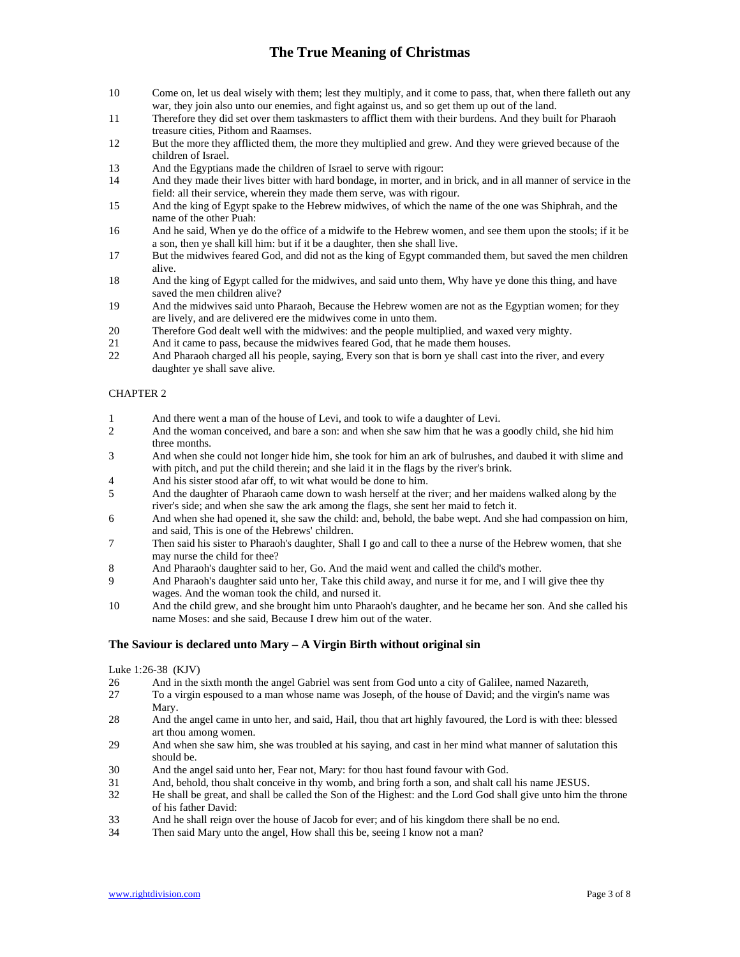- 10 Come on, let us deal wisely with them; lest they multiply, and it come to pass, that, when there falleth out any war, they join also unto our enemies, and fight against us, and so get them up out of the land.
- 11 Therefore they did set over them taskmasters to afflict them with their burdens. And they built for Pharaoh treasure cities, Pithom and Raamses.
- 12 But the more they afflicted them, the more they multiplied and grew. And they were grieved because of the children of Israel.
- 13 And the Egyptians made the children of Israel to serve with rigour:

14 And they made their lives bitter with hard bondage, in morter, and in brick, and in all manner of service in the field: all their service, wherein they made them serve, was with rigour.

- 15 And the king of Egypt spake to the Hebrew midwives, of which the name of the one was Shiphrah, and the name of the other Puah:
- 16 And he said, When ye do the office of a midwife to the Hebrew women, and see them upon the stools; if it be a son, then ye shall kill him: but if it be a daughter, then she shall live.
- 17 But the midwives feared God, and did not as the king of Egypt commanded them, but saved the men children alive.
- 18 And the king of Egypt called for the midwives, and said unto them, Why have ye done this thing, and have saved the men children alive?
- 19 And the midwives said unto Pharaoh, Because the Hebrew women are not as the Egyptian women; for they are lively, and are delivered ere the midwives come in unto them.
- 20 Therefore God dealt well with the midwives: and the people multiplied, and waxed very mighty.
- 21 And it came to pass, because the midwives feared God, that he made them houses.<br>22 And Pharaoh charged all his people, saying, Every son that is born ye shall cast int
- And Pharaoh charged all his people, saying, Every son that is born ye shall cast into the river, and every daughter ye shall save alive.

## CHAPTER 2

- 2 And there went a man of the house of Levi, and took to wife a daughter of Levi.<br>2 And the woman conceived, and bare a son: and when she saw him that he was a
- 2 And the woman conceived, and bare a son: and when she saw him that he was a goodly child, she hid him three months.
- 3 And when she could not longer hide him, she took for him an ark of bulrushes, and daubed it with slime and with pitch, and put the child therein; and she laid it in the flags by the river's brink.
- 4 And his sister stood afar off, to wit what would be done to him.
- 5 And the daughter of Pharaoh came down to wash herself at the river; and her maidens walked along by the river's side; and when she saw the ark among the flags, she sent her maid to fetch it.
- 6 And when she had opened it, she saw the child: and, behold, the babe wept. And she had compassion on him, and said, This is one of the Hebrews' children.
- 7 Then said his sister to Pharaoh's daughter, Shall I go and call to thee a nurse of the Hebrew women, that she may nurse the child for thee?
- 8 And Pharaoh's daughter said to her, Go. And the maid went and called the child's mother.
- 9 And Pharaoh's daughter said unto her, Take this child away, and nurse it for me, and I will give thee thy wages. And the woman took the child, and nursed it.
- 10 And the child grew, and she brought him unto Pharaoh's daughter, and he became her son. And she called his name Moses: and she said, Because I drew him out of the water.

## **The Saviour is declared unto Mary – A Virgin Birth without original sin**

Luke 1:26-38 (KJV)

- 26 And in the sixth month the angel Gabriel was sent from God unto a city of Galilee, named Nazareth,
- 27 To a virgin espoused to a man whose name was Joseph, of the house of David; and the virgin's name was Mary.
- 28 And the angel came in unto her, and said, Hail, thou that art highly favoured, the Lord is with thee: blessed art thou among women.
- 29 And when she saw him, she was troubled at his saying, and cast in her mind what manner of salutation this should be.
- 30 And the angel said unto her, Fear not, Mary: for thou hast found favour with God.
- 31 And, behold, thou shalt conceive in thy womb, and bring forth a son, and shalt call his name JESUS.
- 32 He shall be great, and shall be called the Son of the Highest: and the Lord God shall give unto him the throne of his father David:
- 33 And he shall reign over the house of Jacob for ever; and of his kingdom there shall be no end.
- 34 Then said Mary unto the angel, How shall this be, seeing I know not a man?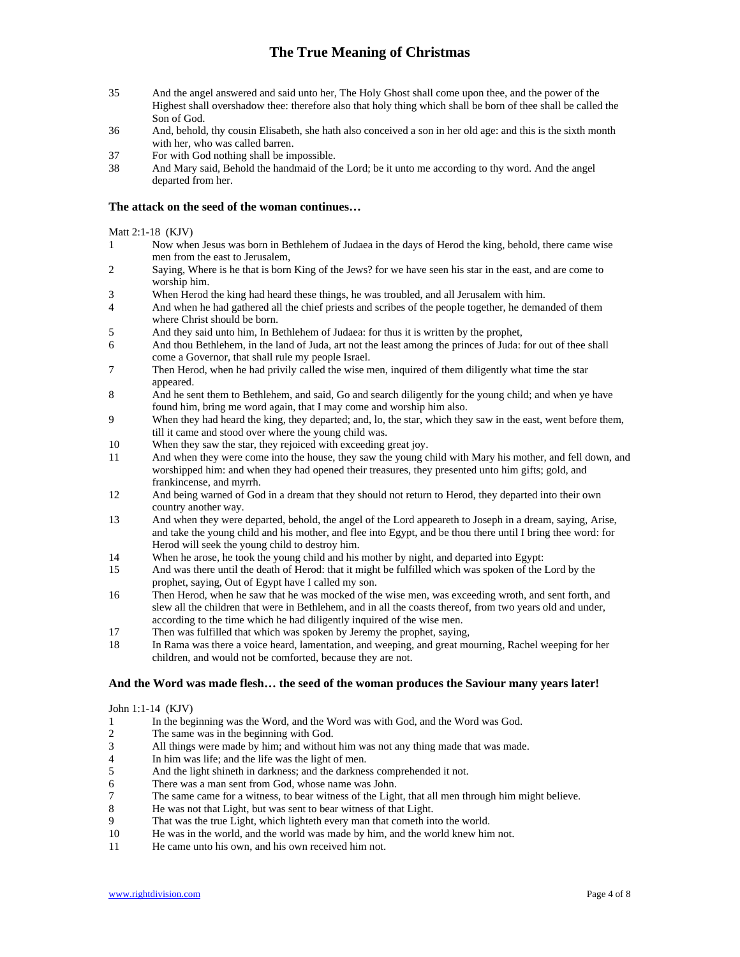- 35 And the angel answered and said unto her, The Holy Ghost shall come upon thee, and the power of the Highest shall overshadow thee: therefore also that holy thing which shall be born of thee shall be called the Son of God.
- 36 And, behold, thy cousin Elisabeth, she hath also conceived a son in her old age: and this is the sixth month with her, who was called barren.
- 37 For with God nothing shall be impossible.
- 38 And Mary said, Behold the handmaid of the Lord; be it unto me according to thy word. And the angel departed from her.

## **The attack on the seed of the woman continues…**

Matt 2:1-18 (KJV)

- 1 Now when Jesus was born in Bethlehem of Judaea in the days of Herod the king, behold, there came wise men from the east to Jerusalem,
- 2 Saying, Where is he that is born King of the Jews? for we have seen his star in the east, and are come to worship him.
- 3 When Herod the king had heard these things, he was troubled, and all Jerusalem with him.
- 4 And when he had gathered all the chief priests and scribes of the people together, he demanded of them where Christ should be born.
- 5 And they said unto him, In Bethlehem of Judaea: for thus it is written by the prophet,
- 6 And thou Bethlehem, in the land of Juda, art not the least among the princes of Juda: for out of thee shall come a Governor, that shall rule my people Israel.
- 7 Then Herod, when he had privily called the wise men, inquired of them diligently what time the star appeared.
- 8 And he sent them to Bethlehem, and said, Go and search diligently for the young child; and when ye have found him, bring me word again, that I may come and worship him also.
- 9 When they had heard the king, they departed; and, lo, the star, which they saw in the east, went before them, till it came and stood over where the young child was.
- 10 When they saw the star, they rejoiced with exceeding great joy.
- 11 And when they were come into the house, they saw the young child with Mary his mother, and fell down, and worshipped him: and when they had opened their treasures, they presented unto him gifts; gold, and frankincense, and myrrh.
- 12 And being warned of God in a dream that they should not return to Herod, they departed into their own country another way.
- 13 And when they were departed, behold, the angel of the Lord appeareth to Joseph in a dream, saying, Arise, and take the young child and his mother, and flee into Egypt, and be thou there until I bring thee word: for Herod will seek the young child to destroy him.
- 14 When he arose, he took the young child and his mother by night, and departed into Egypt:
- 15 And was there until the death of Herod: that it might be fulfilled which was spoken of the Lord by the prophet, saying, Out of Egypt have I called my son.
- 16 Then Herod, when he saw that he was mocked of the wise men, was exceeding wroth, and sent forth, and slew all the children that were in Bethlehem, and in all the coasts thereof, from two years old and under, according to the time which he had diligently inquired of the wise men.
- 17 Then was fulfilled that which was spoken by Jeremy the prophet, saying,
- 18 In Rama was there a voice heard, lamentation, and weeping, and great mourning, Rachel weeping for her children, and would not be comforted, because they are not.

## **And the Word was made flesh… the seed of the woman produces the Saviour many years later!**

John 1:1-14 (KJV)

- 1 In the beginning was the Word, and the Word was with God, and the Word was God.
- 2 The same was in the beginning with God.
- 3 All things were made by him; and without him was not any thing made that was made.
- 4 In him was life; and the life was the light of men.
- 5 And the light shineth in darkness; and the darkness comprehended it not.
- 6 There was a man sent from God, whose name was John.
- The same came for a witness, to bear witness of the Light, that all men through him might believe.<br>
He was not that Light, but was sent to bear witness of that Light.
- He was not that Light, but was sent to bear witness of that Light.
- 9 That was the true Light, which lighteth every man that cometh into the world.
- 10 He was in the world, and the world was made by him, and the world knew him not.
- 11 He came unto his own, and his own received him not.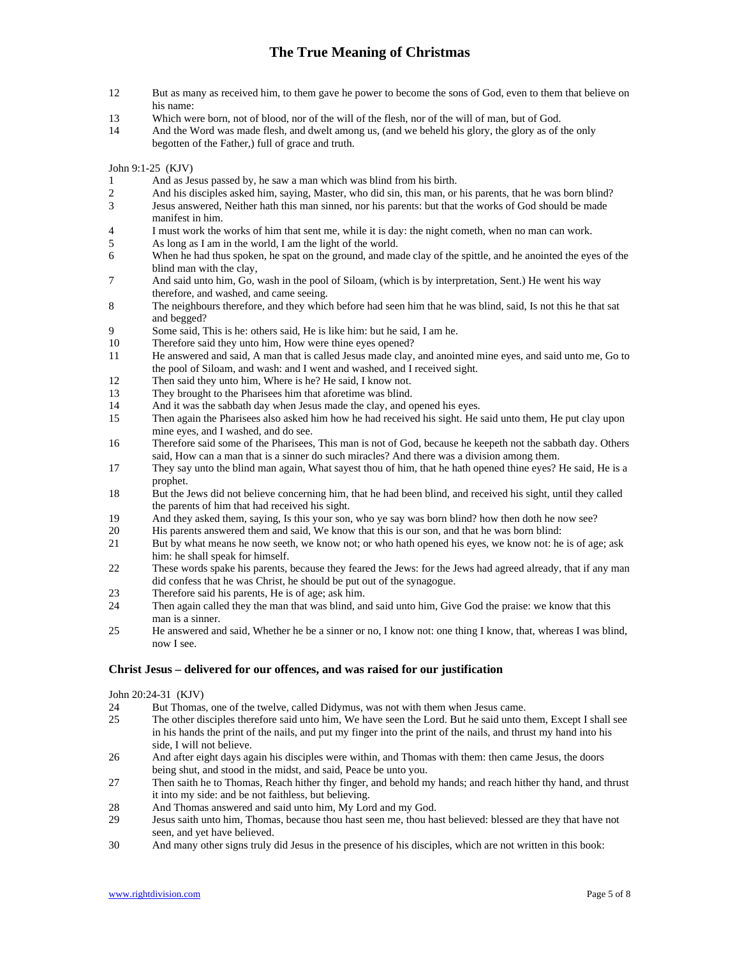- 12 But as many as received him, to them gave he power to become the sons of God, even to them that believe on his name:
- 13 Which were born, not of blood, nor of the will of the flesh, nor of the will of man, but of God.
- 14 And the Word was made flesh, and dwelt among us, (and we beheld his glory, the glory as of the only begotten of the Father,) full of grace and truth.

John 9:1-25 (KJV)

- 1 And as Jesus passed by, he saw a man which was blind from his birth.<br>2 And his disciples asked him, saving, Master, who did sin, this man, or
- 2 And his disciples asked him, saying, Master, who did sin, this man, or his parents, that he was born blind?<br>2 Jesus answered, Neither hath this man sinned, nor his parents: but that the works of God should be made
- Jesus answered, Neither hath this man sinned, nor his parents: but that the works of God should be made manifest in him.
- 4 I must work the works of him that sent me, while it is day: the night cometh, when no man can work.
- 5 As long as I am in the world, I am the light of the world.
- 6 When he had thus spoken, he spat on the ground, and made clay of the spittle, and he anointed the eyes of the blind man with the clay,
- 7 And said unto him, Go, wash in the pool of Siloam, (which is by interpretation, Sent.) He went his way therefore, and washed, and came seeing.
- 8 The neighbours therefore, and they which before had seen him that he was blind, said, Is not this he that sat and begged?
- 9 Some said, This is he: others said, He is like him: but he said, I am he.
- 10 Therefore said they unto him, How were thine eyes opened?
- 11 He answered and said, A man that is called Jesus made clay, and anointed mine eyes, and said unto me, Go to the pool of Siloam, and wash: and I went and washed, and I received sight.
- 12 Then said they unto him, Where is he? He said, I know not.
- 13 They brought to the Pharisees him that aforetime was blind.
- 14 And it was the sabbath day when Jesus made the clay, and opened his eyes.
- 15 Then again the Pharisees also asked him how he had received his sight. He said unto them, He put clay upon mine eyes, and I washed, and do see.
- 16 Therefore said some of the Pharisees, This man is not of God, because he keepeth not the sabbath day. Others said, How can a man that is a sinner do such miracles? And there was a division among them.
- 17 They say unto the blind man again, What sayest thou of him, that he hath opened thine eyes? He said, He is a prophet.
- 18 But the Jews did not believe concerning him, that he had been blind, and received his sight, until they called the parents of him that had received his sight.
- 19 And they asked them, saying, Is this your son, who ye say was born blind? how then doth he now see?<br>20 His parents answered them and said. We know that this is our son, and that he was born blind:
- His parents answered them and said, We know that this is our son, and that he was born blind:
- 21 But by what means he now seeth, we know not; or who hath opened his eyes, we know not: he is of age; ask him: he shall speak for himself.
- 22 These words spake his parents, because they feared the Jews: for the Jews had agreed already, that if any man did confess that he was Christ, he should be put out of the synagogue.
- 23 Therefore said his parents, He is of age; ask him.
- 24 Then again called they the man that was blind, and said unto him, Give God the praise: we know that this man is a sinner.
- 25 He answered and said, Whether he be a sinner or no, I know not: one thing I know, that, whereas I was blind, now I see.

### **Christ Jesus – delivered for our offences, and was raised for our justification**

### John 20:24-31 (KJV)

- 24 But Thomas, one of the twelve, called Didymus, was not with them when Jesus came.<br>25 The other disciples therefore said unto him, We have seen the Lord. But he said unto the
- 25 The other disciples therefore said unto him, We have seen the Lord. But he said unto them, Except I shall see in his hands the print of the nails, and put my finger into the print of the nails, and thrust my hand into his side, I will not believe.
- 26 And after eight days again his disciples were within, and Thomas with them: then came Jesus, the doors being shut, and stood in the midst, and said, Peace be unto you.
- 27 Then saith he to Thomas, Reach hither thy finger, and behold my hands; and reach hither thy hand, and thrust it into my side: and be not faithless, but believing.
- 28 And Thomas answered and said unto him, My Lord and my God.
- 29 Jesus saith unto him, Thomas, because thou hast seen me, thou hast believed: blessed are they that have not seen, and yet have believed.
- 30 And many other signs truly did Jesus in the presence of his disciples, which are not written in this book: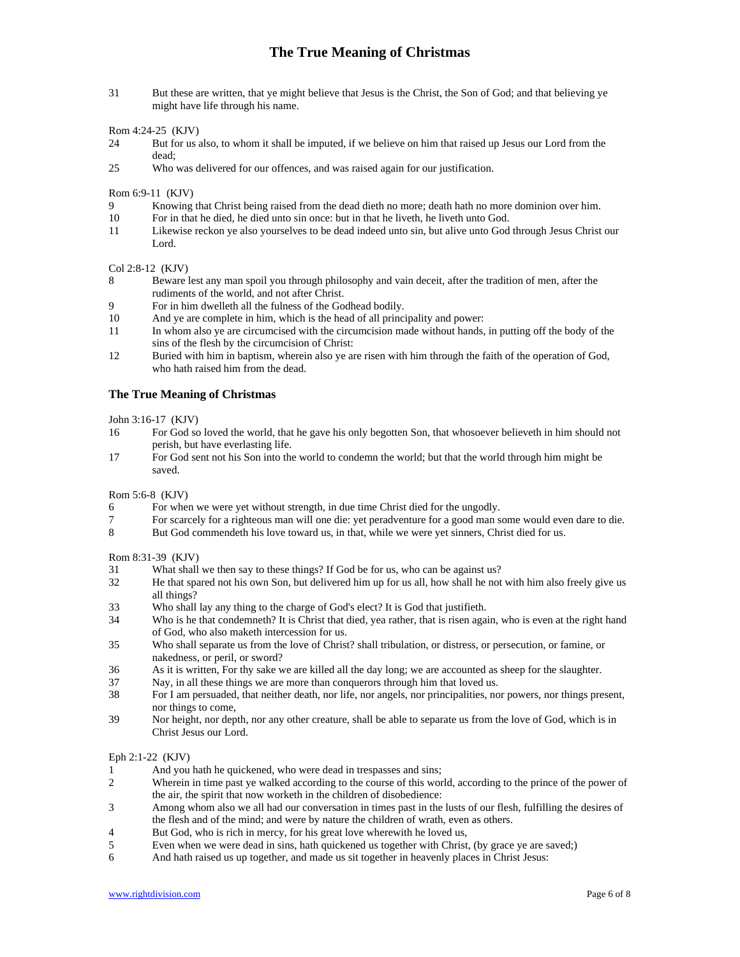31 But these are written, that ye might believe that Jesus is the Christ, the Son of God; and that believing ye might have life through his name.

#### Rom 4:24-25 (KJV)

- 24 But for us also, to whom it shall be imputed, if we believe on him that raised up Jesus our Lord from the dead;
- 25 Who was delivered for our offences, and was raised again for our justification.

Rom 6:9-11 (KJV)

- 9 Knowing that Christ being raised from the dead dieth no more; death hath no more dominion over him.
- 10 For in that he died, he died unto sin once: but in that he liveth, he liveth unto God.
- 11 Likewise reckon ye also yourselves to be dead indeed unto sin, but alive unto God through Jesus Christ our Lord.

## Col 2:8-12 (KJV)

- 8 Beware lest any man spoil you through philosophy and vain deceit, after the tradition of men, after the rudiments of the world, and not after Christ.
- 9 For in him dwelleth all the fulness of the Godhead bodily.
- 10 And ye are complete in him, which is the head of all principality and power:
- 11 In whom also ye are circumcised with the circumcision made without hands, in putting off the body of the sins of the flesh by the circumcision of Christ:
- 12 Buried with him in baptism, wherein also ye are risen with him through the faith of the operation of God, who hath raised him from the dead.

### **The True Meaning of Christmas**

John 3:16-17 (KJV)

- 16 For God so loved the world, that he gave his only begotten Son, that whosoever believeth in him should not perish, but have everlasting life.
- 17 For God sent not his Son into the world to condemn the world; but that the world through him might be saved.

Rom 5:6-8 (KJV)

- 6 For when we were yet without strength, in due time Christ died for the ungodly.
- 7 For scarcely for a righteous man will one die: yet peradventure for a good man some would even dare to die.<br>8 But God commendeth his love toward us, in that, while we were vet sinners. Christ died for us,
- But God commendeth his love toward us, in that, while we were yet sinners, Christ died for us.

### Rom 8:31-39 (KJV)

- 31 What shall we then say to these things? If God be for us, who can be against us?
- 32 He that spared not his own Son, but delivered him up for us all, how shall he not with him also freely give us all things?
- 33 Who shall lay any thing to the charge of God's elect? It is God that justifieth.
- 34 Who is he that condemneth? It is Christ that died, yea rather, that is risen again, who is even at the right hand of God, who also maketh intercession for us.
- 35 Who shall separate us from the love of Christ? shall tribulation, or distress, or persecution, or famine, or nakedness, or peril, or sword?
- 36 As it is written, For thy sake we are killed all the day long; we are accounted as sheep for the slaughter.
- 37 Nay, in all these things we are more than conquerors through him that loved us.
- 38 For I am persuaded, that neither death, nor life, nor angels, nor principalities, nor powers, nor things present, nor things to come,
- 39 Nor height, nor depth, nor any other creature, shall be able to separate us from the love of God, which is in Christ Jesus our Lord.

#### Eph 2:1-22 (KJV)

- 1 And you hath he quickened, who were dead in trespasses and sins;
- 2 Wherein in time past ye walked according to the course of this world, according to the prince of the power of the air, the spirit that now worketh in the children of disobedience:
- 3 Among whom also we all had our conversation in times past in the lusts of our flesh, fulfilling the desires of the flesh and of the mind; and were by nature the children of wrath, even as others.
- 4 But God, who is rich in mercy, for his great love wherewith he loved us,
- 5 Even when we were dead in sins, hath quickened us together with Christ, (by grace ye are saved;)
- 6 And hath raised us up together, and made us sit together in heavenly places in Christ Jesus: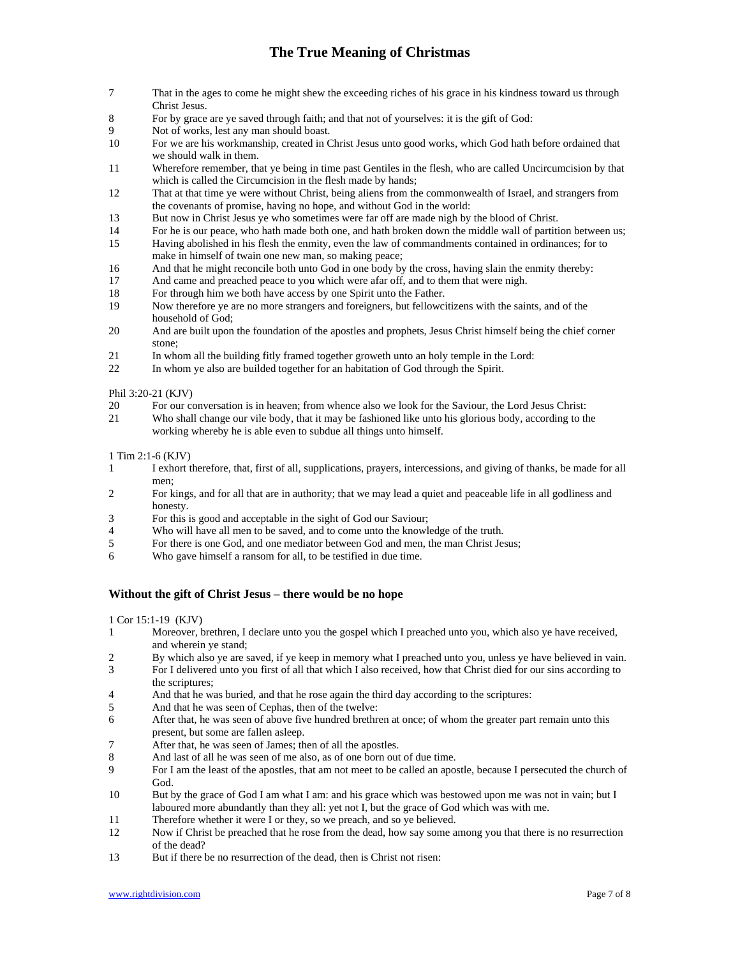- 7 That in the ages to come he might shew the exceeding riches of his grace in his kindness toward us through Christ Jesus.
- 8 For by grace are ye saved through faith; and that not of yourselves: it is the gift of God:
- 9 Not of works, lest any man should boast.
- 10 For we are his workmanship, created in Christ Jesus unto good works, which God hath before ordained that we should walk in them.
- 11 Wherefore remember, that ye being in time past Gentiles in the flesh, who are called Uncircumcision by that which is called the Circumcision in the flesh made by hands;
- 12 That at that time ye were without Christ, being aliens from the commonwealth of Israel, and strangers from the covenants of promise, having no hope, and without God in the world:
- 13 But now in Christ Jesus ye who sometimes were far off are made nigh by the blood of Christ.
- 14 For he is our peace, who hath made both one, and hath broken down the middle wall of partition between us; 15 Having abolished in his flesh the enmity, even the law of commandments contained in ordinances; for to
- make in himself of twain one new man, so making peace;
- 16 And that he might reconcile both unto God in one body by the cross, having slain the enmity thereby:
- 17 And came and preached peace to you which were afar off, and to them that were nigh.
- 18 For through him we both have access by one Spirit unto the Father.
- 19 Now therefore ye are no more strangers and foreigners, but fellowcitizens with the saints, and of the household of God;
- 20 And are built upon the foundation of the apostles and prophets, Jesus Christ himself being the chief corner stone;
- 21 In whom all the building fitly framed together groweth unto an holy temple in the Lord:
- 22 In whom ye also are builded together for an habitation of God through the Spirit.

### Phil 3:20-21 (KJV)

- 20 For our conversation is in heaven; from whence also we look for the Saviour, the Lord Jesus Christ:
- 21 Who shall change our vile body, that it may be fashioned like unto his glorious body, according to the working whereby he is able even to subdue all things unto himself.

### 1 Tim 2:1-6 (KJV)

- 1 I exhort therefore, that, first of all, supplications, prayers, intercessions, and giving of thanks, be made for all men;
- 2 For kings, and for all that are in authority; that we may lead a quiet and peaceable life in all godliness and honesty.
- 3 For this is good and acceptable in the sight of God our Saviour;
- Who will have all men to be saved, and to come unto the knowledge of the truth.
- 5 For there is one God, and one mediator between God and men, the man Christ Jesus;
- 6 Who gave himself a ransom for all, to be testified in due time.

## **Without the gift of Christ Jesus – there would be no hope**

1 Cor 15:1-19 (KJV)

- 1 Moreover, brethren, I declare unto you the gospel which I preached unto you, which also ye have received, and wherein ye stand;
- 2 By which also ye are saved, if ye keep in memory what I preached unto you, unless ye have believed in vain.
- 3 For I delivered unto you first of all that which I also received, how that Christ died for our sins according to the scriptures;
- 4 And that he was buried, and that he rose again the third day according to the scriptures:
- 5 And that he was seen of Cephas, then of the twelve:
- 6 After that, he was seen of above five hundred brethren at once; of whom the greater part remain unto this present, but some are fallen asleep.
- 7 After that, he was seen of James; then of all the apostles.
- 8 And last of all he was seen of me also, as of one born out of due time.<br>9 For I am the least of the apostles, that am not meet to be called an apos
- 9 For I am the least of the apostles, that am not meet to be called an apostle, because I persecuted the church of God.
- 10 But by the grace of God I am what I am: and his grace which was bestowed upon me was not in vain; but I laboured more abundantly than they all: yet not I, but the grace of God which was with me.
- 11 Therefore whether it were I or they, so we preach, and so ye believed.
- 12 Now if Christ be preached that he rose from the dead, how say some among you that there is no resurrection of the dead?
- 13 But if there be no resurrection of the dead, then is Christ not risen: